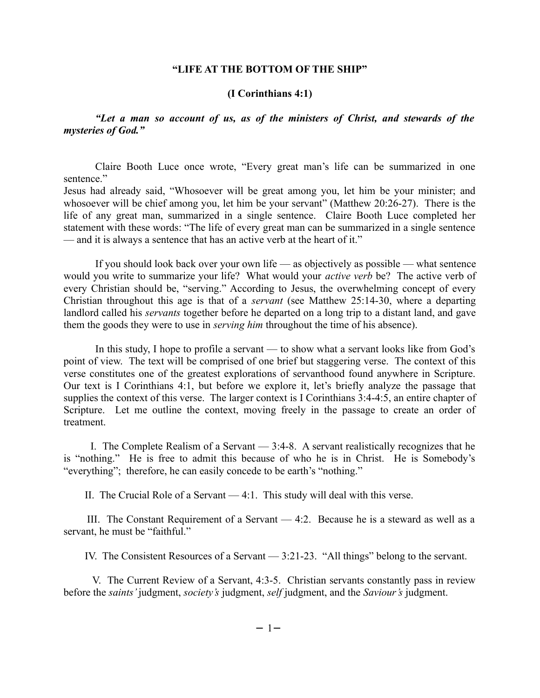## **"LIFE AT THE BOTTOM OF THE SHIP"**

## **(I Corinthians 4:1)**

*"Let a man so account of us, as of the ministers of Christ, and stewards of the mysteries of God."*

Claire Booth Luce once wrote, "Every great man's life can be summarized in one sentence."

Jesus had already said, "Whosoever will be great among you, let him be your minister; and whosoever will be chief among you, let him be your servant" (Matthew 20:26-27). There is the life of any great man, summarized in a single sentence. Claire Booth Luce completed her statement with these words: "The life of every great man can be summarized in a single sentence — and it is always a sentence that has an active verb at the heart of it."

If you should look back over your own life — as objectively as possible — what sentence would you write to summarize your life? What would your *active verb* be? The active verb of every Christian should be, "serving." According to Jesus, the overwhelming concept of every Christian throughout this age is that of a *servant* (see Matthew 25:14-30, where a departing landlord called his *servants* together before he departed on a long trip to a distant land, and gave them the goods they were to use in *serving him* throughout the time of his absence).

In this study, I hope to profile a servant — to show what a servant looks like from God's point of view. The text will be comprised of one brief but staggering verse. The context of this verse constitutes one of the greatest explorations of servanthood found anywhere in Scripture. Our text is I Corinthians 4:1, but before we explore it, let's briefly analyze the passage that supplies the context of this verse. The larger context is I Corinthians 3:4-4:5, an entire chapter of Scripture. Let me outline the context, moving freely in the passage to create an order of treatment.

I. The Complete Realism of a Servant  $-3:4-8$ . A servant realistically recognizes that he is "nothing." He is free to admit this because of who he is in Christ. He is Somebody's "everything"; therefore, he can easily concede to be earth's "nothing."

II. The Crucial Role of a Servant — 4:1. This study will deal with this verse.

 III. The Constant Requirement of a Servant — 4:2. Because he is a steward as well as a servant, he must be "faithful."

IV. The Consistent Resources of a Servant — 3:21-23. "All things" belong to the servant.

 V. The Current Review of a Servant, 4:3-5. Christian servants constantly pass in review before the *saints'* judgment, *society's* judgment, *self* judgment, and the *Saviour's* judgment.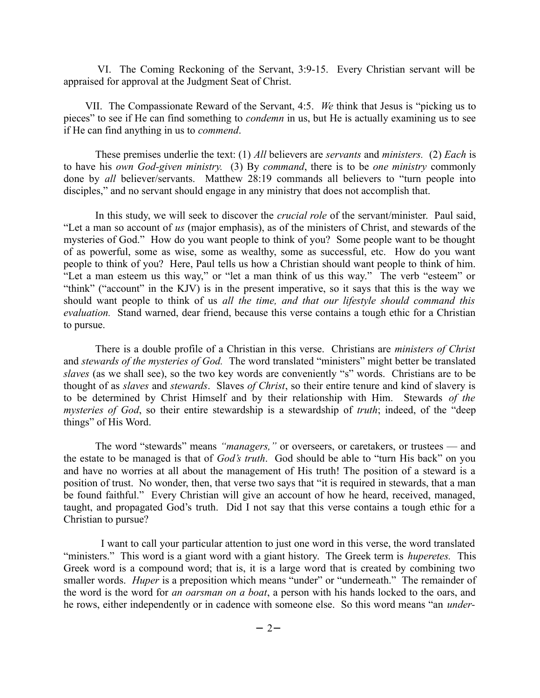VI. The Coming Reckoning of the Servant, 3:9-15. Every Christian servant will be appraised for approval at the Judgment Seat of Christ.

 VII. The Compassionate Reward of the Servant, 4:5. *We* think that Jesus is "picking us to pieces" to see if He can find something to *condemn* in us, but He is actually examining us to see if He can find anything in us to *commend*.

These premises underlie the text: (1) *All* believers are *servants* and *ministers.* (2) *Each* is to have his *own God-given ministry.* (3) By *command*, there is to be *one ministry* commonly done by *all* believer/servants. Matthew 28:19 commands all believers to "turn people into disciples," and no servant should engage in any ministry that does not accomplish that.

In this study, we will seek to discover the *crucial role* of the servant/minister. Paul said, "Let a man so account of *us* (major emphasis), as of the ministers of Christ, and stewards of the mysteries of God." How do you want people to think of you? Some people want to be thought of as powerful, some as wise, some as wealthy, some as successful, etc. How do you want people to think of you? Here, Paul tells us how a Christian should want people to think of him. "Let a man esteem us this way," or "let a man think of us this way." The verb "esteem" or "think" ("account" in the KJV) is in the present imperative, so it says that this is the way we should want people to think of us *all the time, and that our lifestyle should command this evaluation.* Stand warned, dear friend, because this verse contains a tough ethic for a Christian to pursue.

There is a double profile of a Christian in this verse. Christians are *ministers of Christ* and *stewards of the mysteries of God.* The word translated "ministers" might better be translated *slaves* (as we shall see), so the two key words are conveniently "s" words. Christians are to be thought of as *slaves* and *stewards*. Slaves *of Christ*, so their entire tenure and kind of slavery is to be determined by Christ Himself and by their relationship with Him. Stewards *of the mysteries of God*, so their entire stewardship is a stewardship of *truth*; indeed, of the "deep things" of His Word.

The word "stewards" means *"managers,"* or overseers, or caretakers, or trustees — and the estate to be managed is that of *God's truth*. God should be able to "turn His back" on you and have no worries at all about the management of His truth! The position of a steward is a position of trust. No wonder, then, that verse two says that "it is required in stewards, that a man be found faithful." Every Christian will give an account of how he heard, received, managed, taught, and propagated God's truth. Did I not say that this verse contains a tough ethic for a Christian to pursue?

 I want to call your particular attention to just one word in this verse, the word translated "ministers." This word is a giant word with a giant history. The Greek term is *huperetes.* This Greek word is a compound word; that is, it is a large word that is created by combining two smaller words. *Huper* is a preposition which means "under" or "underneath." The remainder of the word is the word for *an oarsman on a boat*, a person with his hands locked to the oars, and he rows, either independently or in cadence with someone else. So this word means "an *under-*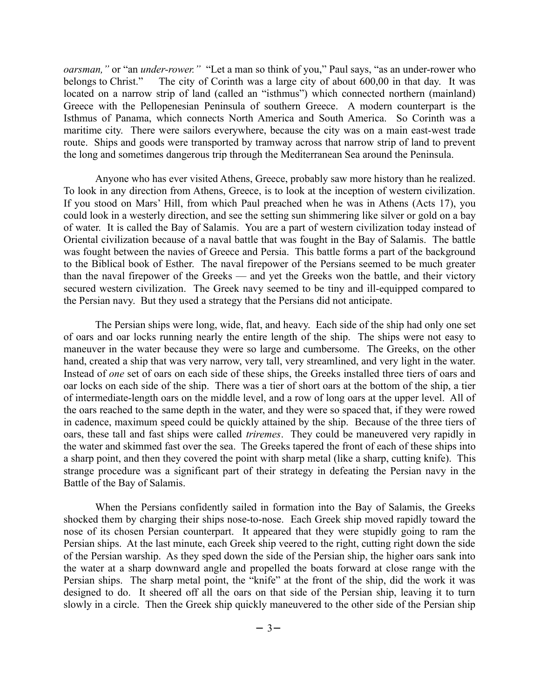*oarsman,"* or "an *under-rower."* "Let a man so think of you," Paul says, "as an under-rower who belongs to Christ." The city of Corinth was a large city of about 600,00 in that day. It was located on a narrow strip of land (called an "isthmus") which connected northern (mainland) Greece with the Pellopenesian Peninsula of southern Greece. A modern counterpart is the Isthmus of Panama, which connects North America and South America. So Corinth was a maritime city. There were sailors everywhere, because the city was on a main east-west trade route. Ships and goods were transported by tramway across that narrow strip of land to prevent the long and sometimes dangerous trip through the Mediterranean Sea around the Peninsula.

Anyone who has ever visited Athens, Greece, probably saw more history than he realized. To look in any direction from Athens, Greece, is to look at the inception of western civilization. If you stood on Mars' Hill, from which Paul preached when he was in Athens (Acts 17), you could look in a westerly direction, and see the setting sun shimmering like silver or gold on a bay of water. It is called the Bay of Salamis. You are a part of western civilization today instead of Oriental civilization because of a naval battle that was fought in the Bay of Salamis. The battle was fought between the navies of Greece and Persia. This battle forms a part of the background to the Biblical book of Esther. The naval firepower of the Persians seemed to be much greater than the naval firepower of the Greeks — and yet the Greeks won the battle, and their victory secured western civilization. The Greek navy seemed to be tiny and ill-equipped compared to the Persian navy. But they used a strategy that the Persians did not anticipate.

The Persian ships were long, wide, flat, and heavy. Each side of the ship had only one set of oars and oar locks running nearly the entire length of the ship. The ships were not easy to maneuver in the water because they were so large and cumbersome. The Greeks, on the other hand, created a ship that was very narrow, very tall, very streamlined, and very light in the water. Instead of *one* set of oars on each side of these ships, the Greeks installed three tiers of oars and oar locks on each side of the ship. There was a tier of short oars at the bottom of the ship, a tier of intermediate-length oars on the middle level, and a row of long oars at the upper level. All of the oars reached to the same depth in the water, and they were so spaced that, if they were rowed in cadence, maximum speed could be quickly attained by the ship. Because of the three tiers of oars, these tall and fast ships were called *triremes*. They could be maneuvered very rapidly in the water and skimmed fast over the sea. The Greeks tapered the front of each of these ships into a sharp point, and then they covered the point with sharp metal (like a sharp, cutting knife). This strange procedure was a significant part of their strategy in defeating the Persian navy in the Battle of the Bay of Salamis.

When the Persians confidently sailed in formation into the Bay of Salamis, the Greeks shocked them by charging their ships nose-to-nose. Each Greek ship moved rapidly toward the nose of its chosen Persian counterpart. It appeared that they were stupidly going to ram the Persian ships. At the last minute, each Greek ship veered to the right, cutting right down the side of the Persian warship. As they sped down the side of the Persian ship, the higher oars sank into the water at a sharp downward angle and propelled the boats forward at close range with the Persian ships. The sharp metal point, the "knife" at the front of the ship, did the work it was designed to do. It sheered off all the oars on that side of the Persian ship, leaving it to turn slowly in a circle. Then the Greek ship quickly maneuvered to the other side of the Persian ship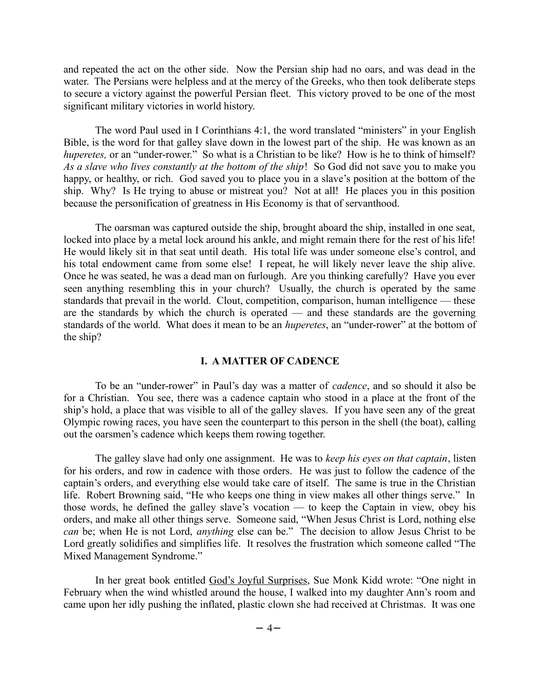and repeated the act on the other side. Now the Persian ship had no oars, and was dead in the water. The Persians were helpless and at the mercy of the Greeks, who then took deliberate steps to secure a victory against the powerful Persian fleet. This victory proved to be one of the most significant military victories in world history.

The word Paul used in I Corinthians 4:1, the word translated "ministers" in your English Bible, is the word for that galley slave down in the lowest part of the ship. He was known as an *huperetes,* or an "under-rower." So what is a Christian to be like? How is he to think of himself? *As a slave who lives constantly at the bottom of the ship*! So God did not save you to make you happy, or healthy, or rich. God saved you to place you in a slave's position at the bottom of the ship. Why? Is He trying to abuse or mistreat you? Not at all! He places you in this position because the personification of greatness in His Economy is that of servanthood.

The oarsman was captured outside the ship, brought aboard the ship, installed in one seat, locked into place by a metal lock around his ankle, and might remain there for the rest of his life! He would likely sit in that seat until death. His total life was under someone else's control, and his total endowment came from some else! I repeat, he will likely never leave the ship alive. Once he was seated, he was a dead man on furlough. Are you thinking carefully? Have you ever seen anything resembling this in your church? Usually, the church is operated by the same standards that prevail in the world. Clout, competition, comparison, human intelligence — these are the standards by which the church is operated — and these standards are the governing standards of the world. What does it mean to be an *huperetes*, an "under-rower" at the bottom of the ship?

## **I. A MATTER OF CADENCE**

To be an "under-rower" in Paul's day was a matter of *cadence*, and so should it also be for a Christian. You see, there was a cadence captain who stood in a place at the front of the ship's hold, a place that was visible to all of the galley slaves. If you have seen any of the great Olympic rowing races, you have seen the counterpart to this person in the shell (the boat), calling out the oarsmen's cadence which keeps them rowing together.

The galley slave had only one assignment. He was to *keep his eyes on that captain*, listen for his orders, and row in cadence with those orders. He was just to follow the cadence of the captain's orders, and everything else would take care of itself. The same is true in the Christian life. Robert Browning said, "He who keeps one thing in view makes all other things serve." In those words, he defined the galley slave's vocation — to keep the Captain in view, obey his orders, and make all other things serve. Someone said, "When Jesus Christ is Lord, nothing else *can* be; when He is not Lord, *anything* else can be." The decision to allow Jesus Christ to be Lord greatly solidifies and simplifies life. It resolves the frustration which someone called "The Mixed Management Syndrome."

In her great book entitled God's Joyful Surprises, Sue Monk Kidd wrote: "One night in February when the wind whistled around the house, I walked into my daughter Ann's room and came upon her idly pushing the inflated, plastic clown she had received at Christmas. It was one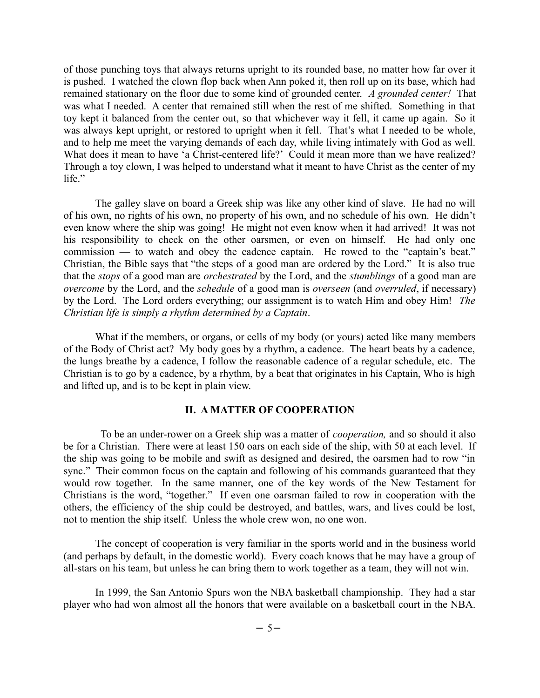of those punching toys that always returns upright to its rounded base, no matter how far over it is pushed. I watched the clown flop back when Ann poked it, then roll up on its base, which had remained stationary on the floor due to some kind of grounded center. *A grounded center!* That was what I needed. A center that remained still when the rest of me shifted. Something in that toy kept it balanced from the center out, so that whichever way it fell, it came up again. So it was always kept upright, or restored to upright when it fell. That's what I needed to be whole, and to help me meet the varying demands of each day, while living intimately with God as well. What does it mean to have 'a Christ-centered life?' Could it mean more than we have realized? Through a toy clown, I was helped to understand what it meant to have Christ as the center of my life."

The galley slave on board a Greek ship was like any other kind of slave. He had no will of his own, no rights of his own, no property of his own, and no schedule of his own. He didn't even know where the ship was going! He might not even know when it had arrived! It was not his responsibility to check on the other oarsmen, or even on himself. He had only one commission — to watch and obey the cadence captain. He rowed to the "captain's beat." Christian, the Bible says that "the steps of a good man are ordered by the Lord." It is also true that the *stops* of a good man are *orchestrated* by the Lord, and the *stumblings* of a good man are *overcome* by the Lord, and the *schedule* of a good man is *overseen* (and *overruled*, if necessary) by the Lord. The Lord orders everything; our assignment is to watch Him and obey Him! *The Christian life is simply a rhythm determined by a Captain*.

What if the members, or organs, or cells of my body (or yours) acted like many members of the Body of Christ act? My body goes by a rhythm, a cadence. The heart beats by a cadence, the lungs breathe by a cadence, I follow the reasonable cadence of a regular schedule, etc. The Christian is to go by a cadence, by a rhythm, by a beat that originates in his Captain, Who is high and lifted up, and is to be kept in plain view.

## **II. A MATTER OF COOPERATION**

 To be an under-rower on a Greek ship was a matter of *cooperation,* and so should it also be for a Christian. There were at least 150 oars on each side of the ship, with 50 at each level. If the ship was going to be mobile and swift as designed and desired, the oarsmen had to row "in sync." Their common focus on the captain and following of his commands guaranteed that they would row together. In the same manner, one of the key words of the New Testament for Christians is the word, "together." If even one oarsman failed to row in cooperation with the others, the efficiency of the ship could be destroyed, and battles, wars, and lives could be lost, not to mention the ship itself. Unless the whole crew won, no one won.

The concept of cooperation is very familiar in the sports world and in the business world (and perhaps by default, in the domestic world). Every coach knows that he may have a group of all-stars on his team, but unless he can bring them to work together as a team, they will not win.

In 1999, the San Antonio Spurs won the NBA basketball championship. They had a star player who had won almost all the honors that were available on a basketball court in the NBA.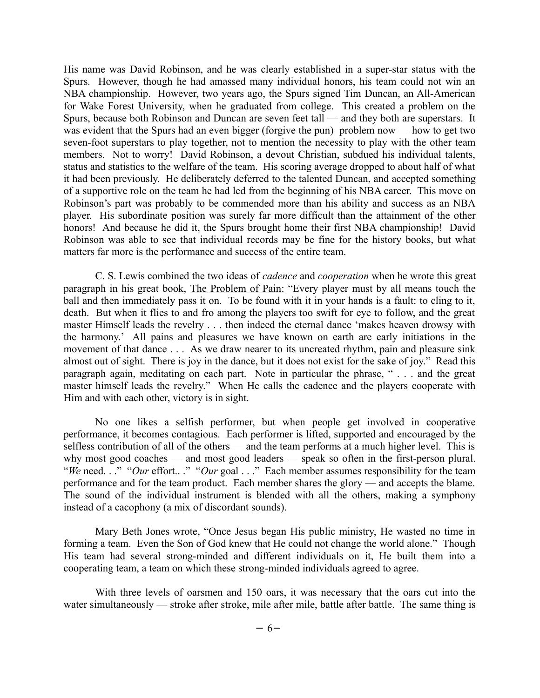His name was David Robinson, and he was clearly established in a super-star status with the Spurs. However, though he had amassed many individual honors, his team could not win an NBA championship. However, two years ago, the Spurs signed Tim Duncan, an All-American for Wake Forest University, when he graduated from college. This created a problem on the Spurs, because both Robinson and Duncan are seven feet tall — and they both are superstars. It was evident that the Spurs had an even bigger (forgive the pun) problem now — how to get two seven-foot superstars to play together, not to mention the necessity to play with the other team members. Not to worry! David Robinson, a devout Christian, subdued his individual talents, status and statistics to the welfare of the team. His scoring average dropped to about half of what it had been previously. He deliberately deferred to the talented Duncan, and accepted something of a supportive role on the team he had led from the beginning of his NBA career. This move on Robinson's part was probably to be commended more than his ability and success as an NBA player. His subordinate position was surely far more difficult than the attainment of the other honors! And because he did it, the Spurs brought home their first NBA championship! David Robinson was able to see that individual records may be fine for the history books, but what matters far more is the performance and success of the entire team.

C. S. Lewis combined the two ideas of *cadence* and *cooperation* when he wrote this great paragraph in his great book, The Problem of Pain: "Every player must by all means touch the ball and then immediately pass it on. To be found with it in your hands is a fault: to cling to it, death. But when it flies to and fro among the players too swift for eye to follow, and the great master Himself leads the revelry . . . then indeed the eternal dance 'makes heaven drowsy with the harmony.' All pains and pleasures we have known on earth are early initiations in the movement of that dance . . . As we draw nearer to its uncreated rhythm, pain and pleasure sink almost out of sight. There is joy in the dance, but it does not exist for the sake of joy." Read this paragraph again, meditating on each part. Note in particular the phrase, " . . . and the great master himself leads the revelry." When He calls the cadence and the players cooperate with Him and with each other, victory is in sight.

No one likes a selfish performer, but when people get involved in cooperative performance, it becomes contagious. Each performer is lifted, supported and encouraged by the selfless contribution of all of the others — and the team performs at a much higher level. This is why most good coaches — and most good leaders — speak so often in the first-person plural. "*We* need..." "*Our* effort..." "*Our* goal ..." Each member assumes responsibility for the team performance and for the team product. Each member shares the glory — and accepts the blame. The sound of the individual instrument is blended with all the others, making a symphony instead of a cacophony (a mix of discordant sounds).

Mary Beth Jones wrote, "Once Jesus began His public ministry, He wasted no time in forming a team. Even the Son of God knew that He could not change the world alone." Though His team had several strong-minded and different individuals on it, He built them into a cooperating team, a team on which these strong-minded individuals agreed to agree.

With three levels of oarsmen and 150 oars, it was necessary that the oars cut into the water simultaneously — stroke after stroke, mile after mile, battle after battle. The same thing is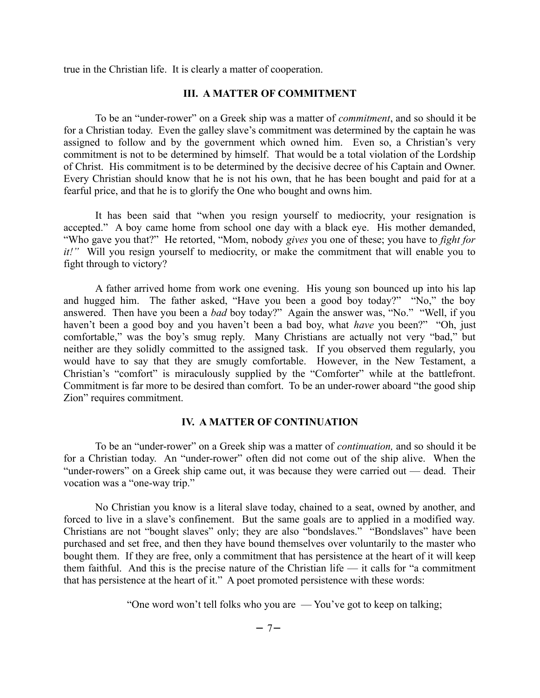true in the Christian life. It is clearly a matter of cooperation.

## **III. A MATTER OF COMMITMENT**

To be an "under-rower" on a Greek ship was a matter of *commitment*, and so should it be for a Christian today. Even the galley slave's commitment was determined by the captain he was assigned to follow and by the government which owned him. Even so, a Christian's very commitment is not to be determined by himself. That would be a total violation of the Lordship of Christ. His commitment is to be determined by the decisive decree of his Captain and Owner. Every Christian should know that he is not his own, that he has been bought and paid for at a fearful price, and that he is to glorify the One who bought and owns him.

It has been said that "when you resign yourself to mediocrity, your resignation is accepted." A boy came home from school one day with a black eye. His mother demanded, "Who gave you that?" He retorted, "Mom, nobody *gives* you one of these; you have to *fight for it!*" Will you resign yourself to mediocrity, or make the commitment that will enable you to fight through to victory?

A father arrived home from work one evening. His young son bounced up into his lap and hugged him. The father asked, "Have you been a good boy today?" "No," the boy answered. Then have you been a *bad* boy today?" Again the answer was, "No." "Well, if you haven't been a good boy and you haven't been a bad boy, what *have* you been?" "Oh, just comfortable," was the boy's smug reply. Many Christians are actually not very "bad," but neither are they solidly committed to the assigned task. If you observed them regularly, you would have to say that they are smugly comfortable. However, in the New Testament, a Christian's "comfort" is miraculously supplied by the "Comforter" while at the battlefront. Commitment is far more to be desired than comfort. To be an under-rower aboard "the good ship Zion" requires commitment.

# **IV. A MATTER OF CONTINUATION**

To be an "under-rower" on a Greek ship was a matter of *continuation,* and so should it be for a Christian today. An "under-rower" often did not come out of the ship alive. When the "under-rowers" on a Greek ship came out, it was because they were carried out — dead. Their vocation was a "one-way trip."

No Christian you know is a literal slave today, chained to a seat, owned by another, and forced to live in a slave's confinement. But the same goals are to applied in a modified way. Christians are not "bought slaves" only; they are also "bondslaves." "Bondslaves" have been purchased and set free, and then they have bound themselves over voluntarily to the master who bought them. If they are free, only a commitment that has persistence at the heart of it will keep them faithful. And this is the precise nature of the Christian life — it calls for "a commitment that has persistence at the heart of it." A poet promoted persistence with these words:

"One word won't tell folks who you are — You've got to keep on talking;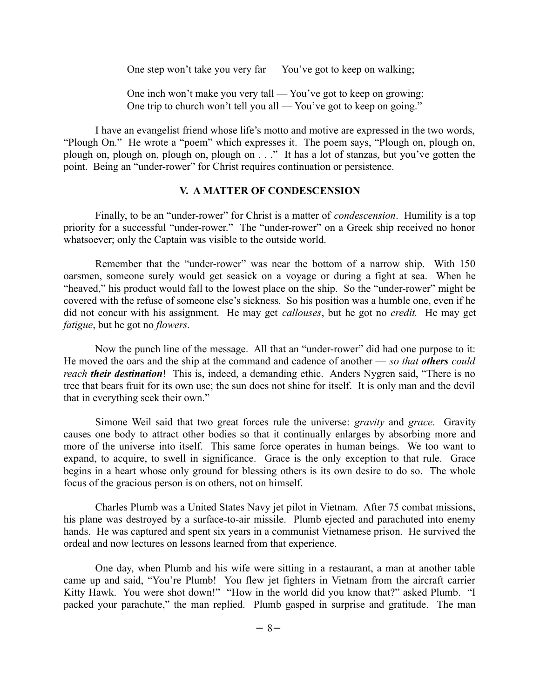One step won't take you very far — You've got to keep on walking;

One inch won't make you very tall — You've got to keep on growing; One trip to church won't tell you all — You've got to keep on going."

I have an evangelist friend whose life's motto and motive are expressed in the two words, "Plough On." He wrote a "poem" which expresses it. The poem says, "Plough on, plough on, plough on, plough on, plough on, plough on . . ." It has a lot of stanzas, but you've gotten the point. Being an "under-rower" for Christ requires continuation or persistence.

## **V. A MATTER OF CONDESCENSION**

Finally, to be an "under-rower" for Christ is a matter of *condescension*. Humility is a top priority for a successful "under-rower." The "under-rower" on a Greek ship received no honor whatsoever; only the Captain was visible to the outside world.

Remember that the "under-rower" was near the bottom of a narrow ship. With 150 oarsmen, someone surely would get seasick on a voyage or during a fight at sea. When he "heaved," his product would fall to the lowest place on the ship. So the "under-rower" might be covered with the refuse of someone else's sickness. So his position was a humble one, even if he did not concur with his assignment. He may get *callouses*, but he got no *credit.* He may get *fatigue*, but he got no *flowers.* 

Now the punch line of the message. All that an "under-rower" did had one purpose to it: He moved the oars and the ship at the command and cadence of another — *so that others could reach their destination*! This is, indeed, a demanding ethic. Anders Nygren said, "There is no tree that bears fruit for its own use; the sun does not shine for itself. It is only man and the devil that in everything seek their own."

Simone Weil said that two great forces rule the universe: *gravity* and *grace*. Gravity causes one body to attract other bodies so that it continually enlarges by absorbing more and more of the universe into itself. This same force operates in human beings. We too want to expand, to acquire, to swell in significance. Grace is the only exception to that rule. Grace begins in a heart whose only ground for blessing others is its own desire to do so. The whole focus of the gracious person is on others, not on himself.

Charles Plumb was a United States Navy jet pilot in Vietnam. After 75 combat missions, his plane was destroyed by a surface-to-air missile. Plumb ejected and parachuted into enemy hands. He was captured and spent six years in a communist Vietnamese prison. He survived the ordeal and now lectures on lessons learned from that experience.

One day, when Plumb and his wife were sitting in a restaurant, a man at another table came up and said, "You're Plumb! You flew jet fighters in Vietnam from the aircraft carrier Kitty Hawk. You were shot down!" "How in the world did you know that?" asked Plumb. "I packed your parachute," the man replied. Plumb gasped in surprise and gratitude. The man